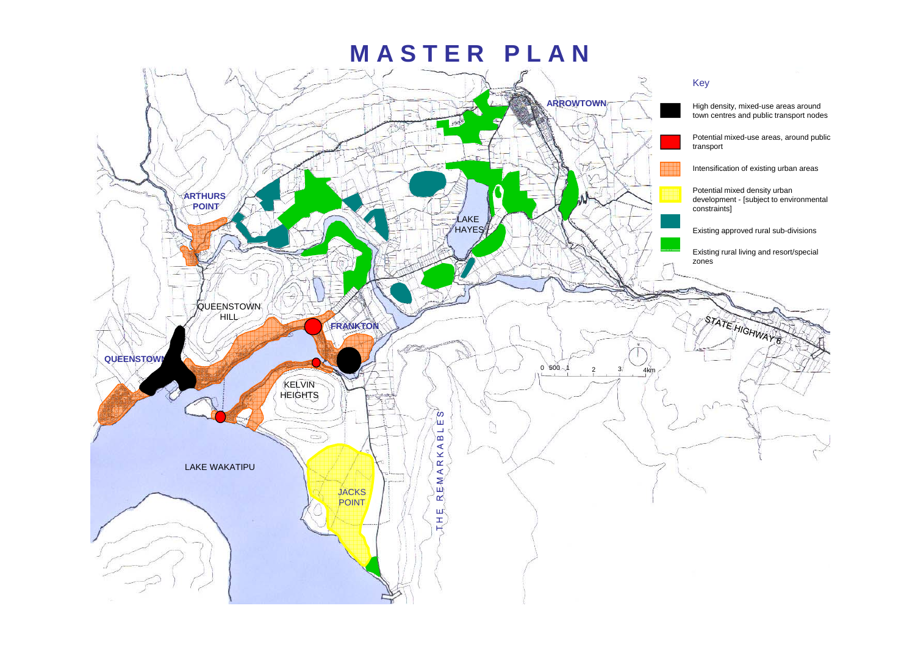## **M A S T E R P L A N**